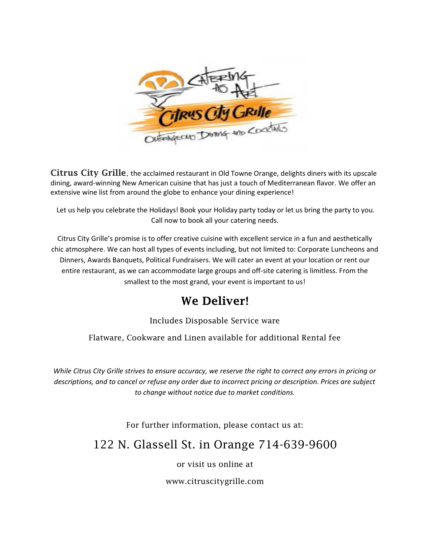

Citrus City Grille, the acclaimed restaurant in Old Towne Orange, delights diners with its upscale dining, award-winning New American cuisine that has just a touch of Mediterranean flavor. We offer an extensive wine list from around the globe to enhance your dining experience!

Let us help you celebrate the Holidays! Book your Holiday party today or let us bring the party to you. Call now to book all your catering needs.

Citrus City Grille's promise is to offer creative cuisine with excellent service in a fun and aesthetically chic atmosphere. We can host all types of events including, but not limited to: Corporate Luncheons and Dinners, Awards Banquets, Political Fundraisers. We will cater an event at your location or rent our entire restaurant, as we can accommodate large groups and off-site catering is limitless. From the smallest to the most grand, your event is important to us!

### We Deliver!

Includes Disposable Service ware

Flatware, Cookware and Linen available for additional Rental fee

*While Citrus City Grille strives to ensure accuracy, we reserve the right to correct any errors in pricing or descriptions, and to cancel or refuse any order due to incorrect pricing or description. Prices are subject to change without notice due to market conditions.*

For further information, please contact us at:

### 122 N. Glassell St. in Orange 714-639-9600

or visit us online at

www.citruscitygrille.com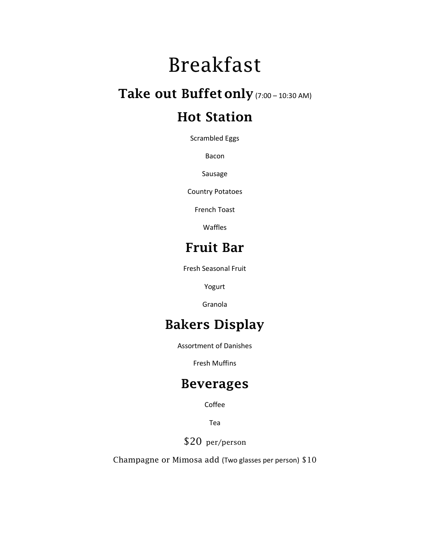# Breakfast

# Take out Buffet only (7:00 – 10:30 AM)

# Hot Station

Scrambled Eggs

Bacon

Sausage

Country Potatoes

French Toast

Waffles

## Fruit Bar

Fresh Seasonal Fruit

Yogurt

Granola

# Bakers Display

Assortment of Danishes

Fresh Muffins

### Beverages

Coffee

Tea

\$20 per/person

Champagne or Mimosa add (Two glasses per person) \$10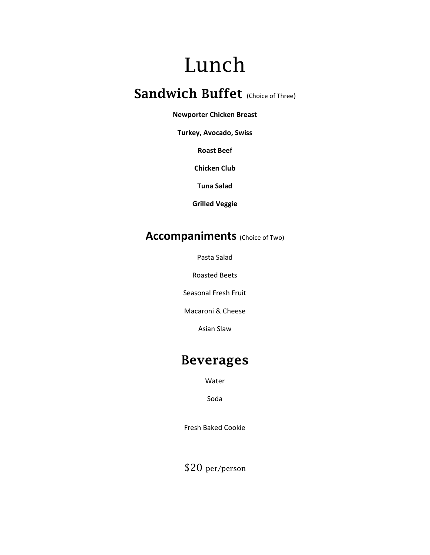# Lunch

# Sandwich Buffet (Choice of Three)

#### **Newporter Chicken Breast**

**Turkey, Avocado, Swiss**

**Roast Beef**

**Chicken Club**

**Tuna Salad**

**Grilled Veggie**

#### **Accompaniments** (Choice of Two)

Pasta Salad

Roasted Beets

Seasonal Fresh Fruit

Macaroni & Cheese

Asian Slaw

### Beverages

Water

Soda

Fresh Baked Cookie

\$20 per/person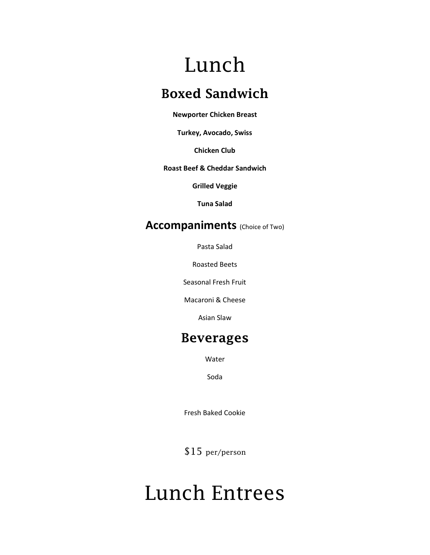# Lunch

## Boxed Sandwich

**Newporter Chicken Breast** 

**Turkey, Avocado, Swiss**

**Chicken Club** 

#### **Roast Beef & Cheddar Sandwich**

**Grilled Veggie**

**Tuna Salad**

#### **Accompaniments** (Choice of Two)

Pasta Salad

Roasted Beets

Seasonal Fresh Fruit

Macaroni & Cheese

Asian Slaw

### Beverages

Water

Soda

Fresh Baked Cookie

\$15 per/person

# Lunch Entrees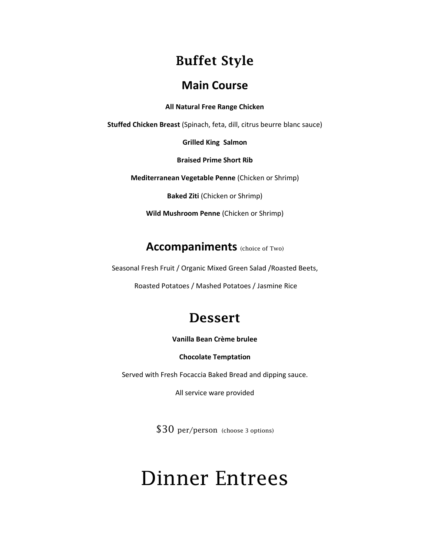## Buffet Style

#### **Main Course**

**All Natural Free Range Chicken**

**Stuffed Chicken Breast** (Spinach, feta, dill, citrus beurre blanc sauce)

**Grilled King Salmon**

**Braised Prime Short Rib**

**Mediterranean Vegetable Penne** (Chicken or Shrimp)

**Baked Ziti** (Chicken or Shrimp)

**Wild Mushroom Penne** (Chicken or Shrimp)

#### **Accompaniments** (choice of Two)

Seasonal Fresh Fruit / Organic Mixed Green Salad /Roasted Beets,

Roasted Potatoes / Mashed Potatoes / Jasmine Rice

## Dessert

**Vanilla Bean Crème brulee** 

**Chocolate Temptation**

Served with Fresh Focaccia Baked Bread and dipping sauce.

All service ware provided

\$30 per/person (choose 3 options)

# Dinner Entrees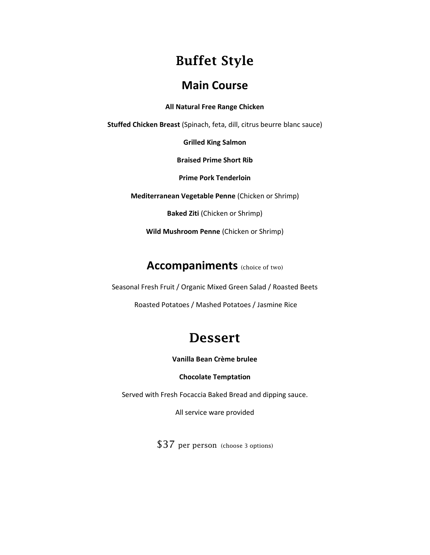# Buffet Style

#### **Main Course**

**All Natural Free Range Chicken** 

**Stuffed Chicken Breast** (Spinach, feta, dill, citrus beurre blanc sauce)

**Grilled King Salmon**

**Braised Prime Short Rib**

**Prime Pork Tenderloin**

**Mediterranean Vegetable Penne** (Chicken or Shrimp)

**Baked Ziti** (Chicken or Shrimp)

**Wild Mushroom Penne** (Chicken or Shrimp)

#### **Accompaniments** (choice of two)

Seasonal Fresh Fruit / Organic Mixed Green Salad / Roasted Beets

Roasted Potatoes / Mashed Potatoes / Jasmine Rice

## Dessert

**Vanilla Bean Crème brulee** 

#### **Chocolate Temptation**

Served with Fresh Focaccia Baked Bread and dipping sauce.

All service ware provided

\$37 per person (choose 3 options)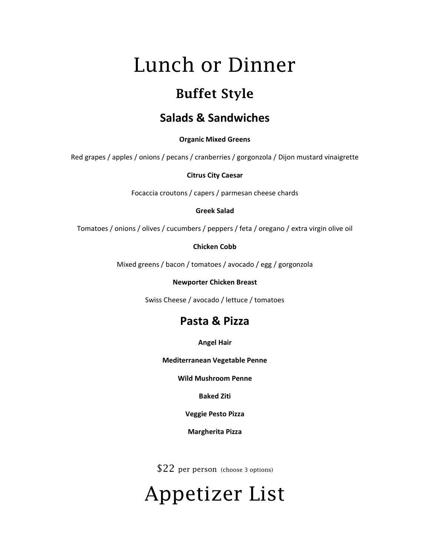# Lunch or Dinner

# Buffet Style

#### **Salads & Sandwiches**

**Organic Mixed Greens**

Red grapes / apples / onions / pecans / cranberries / gorgonzola / Dijon mustard vinaigrette

**Citrus City Caesar**

Focaccia croutons / capers / parmesan cheese chards

**Greek Salad**

Tomatoes / onions / olives / cucumbers / peppers / feta / oregano / extra virgin olive oil

**Chicken Cobb**

Mixed greens / bacon / tomatoes / avocado / egg / gorgonzola

**Newporter Chicken Breast** 

Swiss Cheese / avocado / lettuce / tomatoes

### **Pasta & Pizza**

**Angel Hair**

**Mediterranean Vegetable Penne** 

**Wild Mushroom Penne**

**Baked Ziti**

**Veggie Pesto Pizza**

**Margherita Pizza**

\$22 per person (choose 3 options)

# Appetizer List